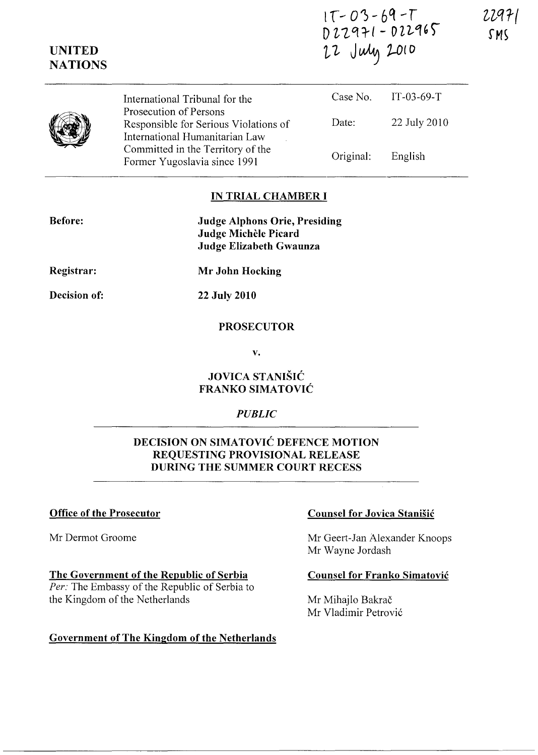| $1T - 03 - 69 - T$ |
|--------------------|
| $D22971 - D22965$  |
| 22 July 2010       |

|  | International Tribunal for the                                                                    |           | Case No. $IT-03-69-T$ |  |
|--|---------------------------------------------------------------------------------------------------|-----------|-----------------------|--|
|  | Prosecution of Persons<br>Responsible for Serious Violations of<br>International Humanitarian Law | Date:     | 22 July 2010          |  |
|  | Committed in the Territory of the<br>Former Yugoslavia since 1991                                 | Original: | English               |  |

### **IN TRIAL CHAMBER I**

| Judge Alphons Orie, Presiding |
|-------------------------------|
| Judge Michèle Picard          |
| Judge Elizabeth Gwaunza       |
|                               |

**Registrar:** 

**UNITED NATIONS** 

**Mr John Hocking** 

**Decision of:** 

**22 July 2010** 

## **PROSECUTOR**

**v.** 

# **JOVICA STANISIC FRANKO SIMATOVIC**

# *PUBLIC*

# **DECISION ON SIMATOVIC DEFENCE MOTION REQUESTING PROVISIONAL RELEASE DURING THE SUMMER COURT RECESS**

Mr Dermot Groome

**The Government of the Republic of Serbia**  *Per:* The Embassy of the Republic of Serbia to the Kingdom of the Netherlands

# **Government of The Kingdom of the Netherlands**

## **Office of the Prosecutor Counsel for Jovica Stanisic Counsel for Jovica Stanisic**

Mr Geert-Jan Alexander Knoops Mr Wayne Jordash

### **Counsel for Franko Simatovic**

Mr Mihajlo Bakrač Mr Vladimir Petrovic 22971 SMS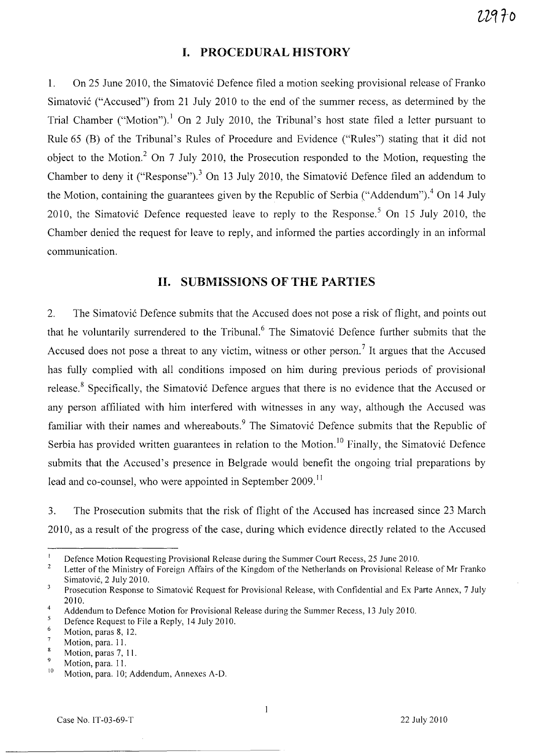## **I. PROCEDURAL HISTORY**

1. On 25 June 2010, the Simatovic Defence filed a motion seeking provisional release of Franko Simatovic ("Accused") from 21 July 2010 to the end of the summer recess, as determined by the Trial Chamber ("Motion").<sup>1</sup> On 2 July 2010, the Tribunal's host state filed a letter pursuant to Rule 65 (B) of the Tribunal's Rules of Procedure and Evidence ("Rules") stating that it did not object to the Motion.<sup>2</sup> On 7 July 2010, the Prosecution responded to the Motion, requesting the Chamber to deny it ("Response").<sup>3</sup> On 13 July 2010, the Simatović Defence filed an addendum to the Motion, containing the guarantees given by the Republic of Serbia ("Addendum").<sup>4</sup> On 14 July 2010, the Simatović Defence requested leave to reply to the Response.<sup>5</sup> On 15 July 2010, the Chamber denied the request for leave to reply, and informed the parties accordingly in an informal communication.

# **H. SUBMISSIONS OF THE PARTIES**

2. The Simatovic Defence submits that the Accused does not pose a risk of flight, and points out that he voluntarily surrendered to the Tribunal.<sup>6</sup> The Simatovic Defence further submits that the Accused does not pose a threat to any victim, witness or other person.<sup>7</sup> It argues that the Accused has fully complied with all conditions imposed on him during previous periods of provisional release.<sup>8</sup> Specifically, the Simatovic Defence argues that there is no evidence that the Accused or any person affiliated with him interfered with witnesses in any way, although the Accused was familiar with their names and whereabouts.<sup>9</sup> The Simatović Defence submits that the Republic of Serbia has provided written guarantees in relation to the Motion.<sup>10</sup> Finally, the Simatović Defence submits that the Accused's presence in Belgrade would benefit the ongoing trial preparations by lead and co-counsel, who were appointed in September 2009.<sup>11</sup>

3. The Prosecution submits that the risk of flight of the Accused has increased since 23 March 2010, as a result of the progress of the case, during which evidence directly related to the Accused

 $\mathbf{l}$ 

 $\mathbf{I}$ Defence Motion Requesting Provisional Release during the Summer Court Recess, 25 June 2010.

 $\overline{2}$ Letter of the Ministry of Foreign Affairs of the Kingdom of the Netherlands on Provisional Release of Mr Franko Simatovic, 2 July 2010.

 $\overline{\mathbf{3}}$ Prosecution Response to Simatovic Request for Provisional Release, with Confidential and Ex Parte Annex, 7 July 2010.

<sup>4</sup>  Addendum to Defence Motion for Provisional Release during the Summer Recess, 13 July 2010.

 $\sqrt{5}$ Defence Request to File a Reply, 14 July 2010. 6

Motion, paras 8, 12.  $\overline{7}$ 

Motion, para. 11.  $\pmb{8}$ 

<sup>9</sup>  Motion, paras 7, 11.

<sup>10</sup>  Motion, para. 11.

Motion, para. 10; Addendum, Annexes A-D.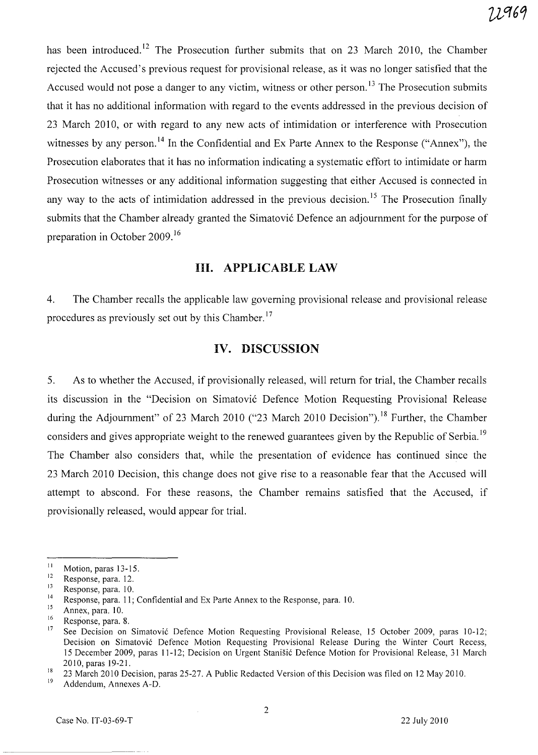has been introduced.<sup>12</sup> The Prosecution further submits that on 23 March 2010, the Chamber rejected the Accused's previous request for provisional release, as it was no longer satisfied that the Accused would not pose a danger to any victim, witness or other person.<sup>13</sup> The Prosecution submits that it has no additional information with regard to the events addressed in the previous decision of 23 March 2010, or with regard to any new acts of intimidation or interference with Prosecution witnesses by any person.<sup>14</sup> In the Confidential and Ex Parte Annex to the Response ("Annex"), the Prosecution elaborates that it has no information indicating a systematic effort to intimidate or harm Prosecution witnesses or any additional information suggesting that either Accused is connected in any way to the acts of intimidation addressed in the previous decision.<sup>15</sup> The Prosecution finally submits that the Chamber already granted the Simatović Defence an adjournment for the purpose of preparation in October 2009. <sup>16</sup>

## **Ill. APPLICABLE LAW**

4. The Chamber recalls the applicable law governing provisional release and provisional release procedures as previously set out by this Chamber. 17

# **IV. DISCUSSION**

5. As to whether the Accused, if provisionally released, will return for trial, the Chamber recalls its discussion in the "Decision on Simatovi6 Defence Motion Requesting Provisional Release during the Adjournment" of 23 March 2010 ("23 March 2010 Decision").<sup>18</sup> Further, the Chamber considers and gives appropriate weight to the renewed guarantees given by the Republic of Serbia.<sup>19</sup> The Chamber also considers that, while the presentation of evidence has continued since the 23 March 2010 Decision, this change does not give rise to a reasonable fear that the Accused will attempt to abscond. For these reasons, the Chamber remains satisfied that the Accused, if provisionally released, would appear for trial.

Addendum, Annexes A-D.

 $\frac{11}{12}$  Motion, paras 13-15.

 $\frac{12}{13}$  Response, para. 12.

 $\frac{13}{14}$  Response, para. 10.

<sup>&</sup>lt;sup>14</sup> Response, para. 11; Confidential and Ex Parte Annex to the Response, para. 10.

 $\frac{15}{16}$  Annex, para. 10.

 $\frac{16}{17}$  Response, para. 8.

See Decision on Simatović Defence Motion Requesting Provisional Release, 15 October 2009, paras 10-12; Decision on Simatovi6 Defence Motion Requesting Provisional Release During the Winter Court Recess, 15 December 2009, paras 11-12; Decision on Urgent Stanišić Defence Motion for Provisional Release, 31 March 2010, paras 19-21.

<sup>&</sup>lt;sup>18</sup> 23 March 2010 Decision, paras 25-27. A Public Redacted Version of this Decision was filed on 12 May 2010.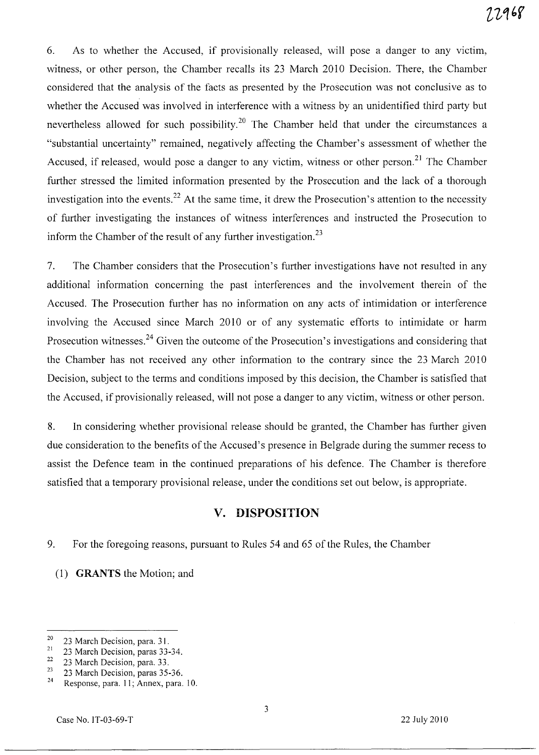6. As to whether the Accused, if provisionally released, will pose a danger to any victim, witness, or other person, the Chamber recalls its 23 March 2010 Decision. There, the Chamber considered that the analysis of the facts as presented by the Prosecution was not conclusive as to whether the Accused was involved in interference with a witness by an unidentified third party but nevertheless allowed for such possibility.<sup>20</sup> The Chamber held that under the circumstances a "substantial uncertainty" remained, negatively affecting the Chamber's assessment of whether the Accused, if released, would pose a danger to any victim, witness or other person.<sup>21</sup> The Chamber further stressed the limited information presented by the Prosecution and the lack of a thorough investigation into the events.<sup>22</sup> At the same time, it drew the Prosecution's attention to the necessity of further investigating the instances of witness interferences and instructed the Prosecution to inform the Chamber of the result of any further investigation.<sup>23</sup>

7. The Chamber considers that the Prosecution's further investigations have not resulted in any additional information concerning the past interferences and the involvement therein of the Accused. The Prosecution further has no information on any acts of intimidation or interference involving the Accused since March 2010 or of any systematic efforts to intimidate or harm Prosecution witnesses.<sup>24</sup> Given the outcome of the Prosecution's investigations and considering that the Chamber has not received any other information to the contrary since the 23 March 2010 Decision, subject to the terms and conditions imposed by this decision, the Chamber is satisfied that the Accused, if provisionally released, will not pose a danger to any victim, witness or other person.

8. In considering whether provisional release should be granted, the Chamber has further given due consideration to the benefits of the Accused's presence in Belgrade during the summer recess to assist the Defence team in the continued preparations of his defence. The Chamber is therefore satisfied that a temporary provisional release, under the conditions set out below, is appropriate.

# **v. DISPOSITION**

9. For the foregoing reasons, pursuant to Rules 54 and 65 of the Rules, the Chamber

(1) GRANTS the Motion; and

 $\frac{20}{21}$  23 March Decision, para. 31.

 $\frac{21}{22}$  23 March Decision, paras 33-34.

 $\frac{22}{23}$  23 March Decision, para. 33.

 $\frac{23}{24}$  23 March Decision, paras 35-36.

Response, para. 11; Annex, para. 10.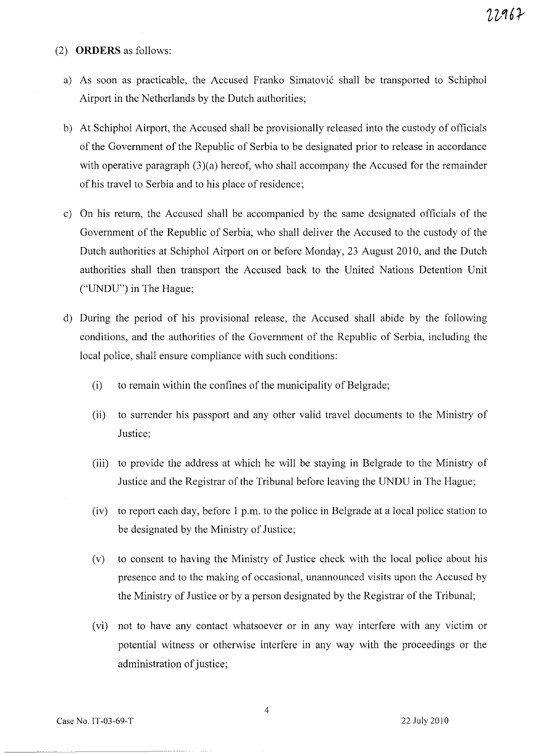#### (2) **ORDERS** as follows:

- a) As soon as practicable, the Accused Franko Simatovic shall be transported to Schiphol Airport in the Netherlands by the Dutch authorities;
- b) At Schiphol Airport, the Accused shall be provisionally released into the custody of officials of the Government of the Republic of Serbia to be designated prior to release in accordance with operative paragraph (3)(a) hereof, who shall accompany the Accused for the remainder of his travel to Serbia and to his place of residence;
- c) On his return, the Accused shall be accompanied by the same designated officials of the Government of the Republic of Serbia, who shall deliver the Accused to the custody of the Dutch authorities at Schiphol Airport on or before Monday, 23 August 2010, and the Dutch authorities shall then transport the Accused back to the United Nations Detention Unit ("UNDU") in The Hague;
- d) During the period of his provisional release, the Accused shall abide by the following conditions, and the authorities of the Government of the Republic of Serbia, including the local police, shall ensure compliance with such conditions:
	- (i) to remain within the confines of the municipality of Belgrade;
	- (ii) to surrender his passport and any other valid travel documents to the Ministry of Justice;
	- (iii) to provide the address at which he will be staying in Belgrade to the Ministry of Justice and the Registrar of the Tribunal before leaving the UNDU in The Hague;
	- (iv) to report each day, before 1 p.m. to the police in Belgrade at a local police station to be designated by the Ministry of Justice;
	- (v) to consent to having the Ministry of Justice check with the local police about his presence and to the making of occasional, unannounced visits upon the Accused by the Ministry of Justice or by a person designated by the Registrar of the Tribunal;
	- (vi) not to have any contact whatsoever or in any way interfere with any victim or potential witness or otherwise interfere in any way with the proceedings or the administration of justice;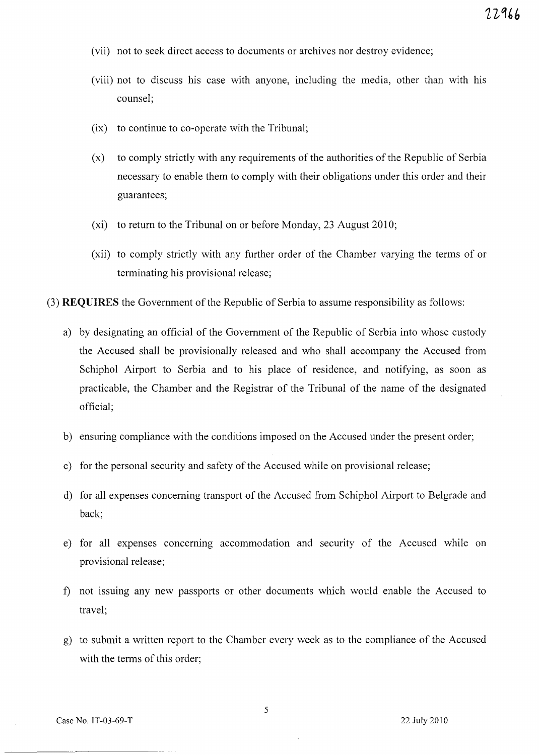- (vii) not to seek direct access to documents or archives nor destroy evidence;
- (viii) not to discuss his case with anyone, including the media, other than with his counsel;
- (ix) to continue to co-operate with the Tribunal;
- (x) to comply strictly with any requirements of the authorities of the Republic of Serbia necessary to enable them to comply with their obligations under this order and their guarantees;
- (xi) to return to the Tribunal on or before Monday, 23 August 2010;
- (xii) to comply strictly with any further order of the Chamber varying the terms of or terminating his provisional release;
- (3) **REQUIRES** the Government of the Republic of Serbia to assume responsibility as follows:
	- a) by designating an official of the Government of the Republic of Serbia into whose custody the Accused shall be provisionally released and who shall accompany the Accused from Schiphol Airport to Serbia and to his place of residence, and notifying, as soon as practicable, the Chamber and the Registrar of the Tribunal of the name of the designated official;
	- b) ensuring compliance with the conditions imposed on the Accused under the present order;
	- c) for the personal security and safety of the Accused while on provisional release;
	- d) for all expenses concerning transport of the Accused from Schiphol Airport to Belgrade and back;
	- e) for all expenses concerning accommodation and security of the Accused while on provisional release;
	- 1) not issuing any new passports or other documents which would enable the Accused to travel;
	- g) to submit a written report to the Chamber every week as to the compliance of the Accused with the terms of this order;